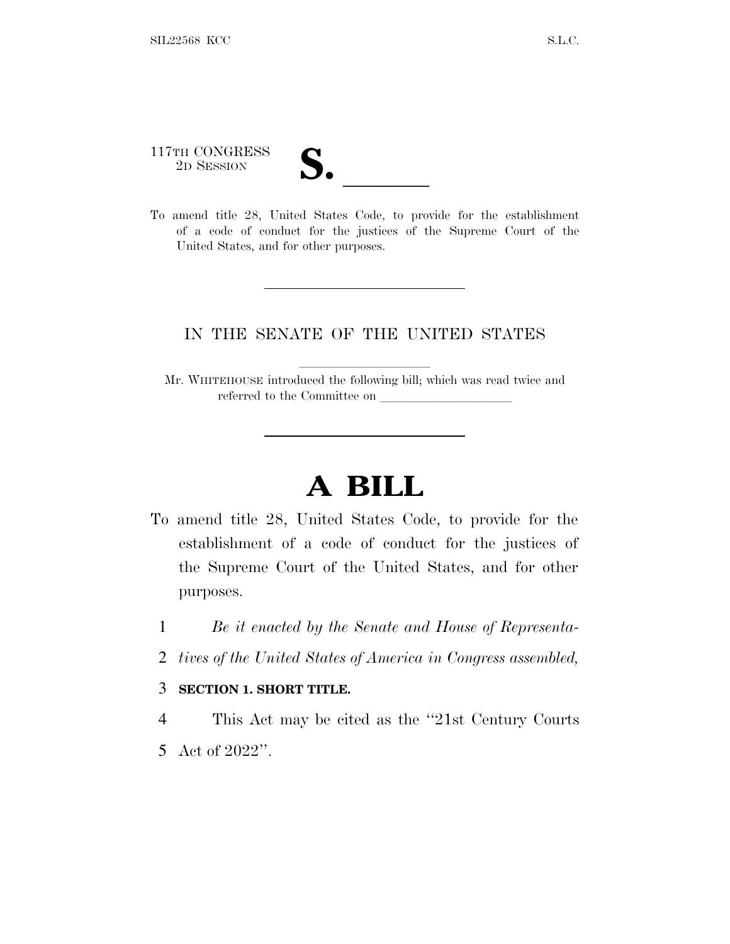117TH CONGRESS

117TH CONGRESS<br>
2D SESSION<br>
To amend title 28, United States Code, to provide for the establishment of a code of conduct for the justices of the Supreme Court of the United States, and for other purposes.

# IN THE SENATE OF THE UNITED STATES

Mr. WHITEHOUSE introduced the following bill; which was read twice and referred to the Committee on

# **A BILL**

- To amend title 28, United States Code, to provide for the establishment of a code of conduct for the justices of the Supreme Court of the United States, and for other purposes.
	- 1 *Be it enacted by the Senate and House of Representa-*
	- 2 *tives of the United States of America in Congress assembled,*

### 3 **SECTION 1. SHORT TITLE.**

4 This Act may be cited as the ''21st Century Courts 5 Act of 2022''.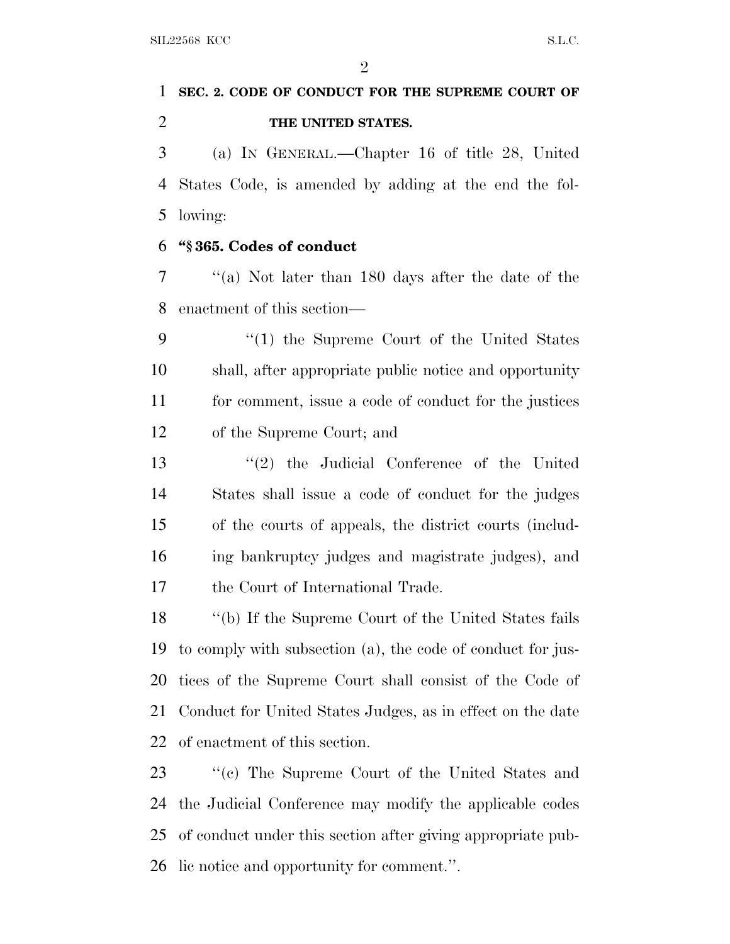$\mathfrak{D}$ 

# **SEC. 2. CODE OF CONDUCT FOR THE SUPREME COURT OF THE UNITED STATES.**

 (a) I<sup>N</sup> GENERAL.—Chapter 16 of title 28, United States Code, is amended by adding at the end the fol-lowing:

### **''§ 365. Codes of conduct**

 ''(a) Not later than 180 days after the date of the enactment of this section—

 ''(1) the Supreme Court of the United States shall, after appropriate public notice and opportunity for comment, issue a code of conduct for the justices of the Supreme Court; and

 ''(2) the Judicial Conference of the United States shall issue a code of conduct for the judges of the courts of appeals, the district courts (includ- ing bankruptcy judges and magistrate judges), and the Court of International Trade.

 ''(b) If the Supreme Court of the United States fails to comply with subsection (a), the code of conduct for jus- tices of the Supreme Court shall consist of the Code of Conduct for United States Judges, as in effect on the date of enactment of this section.

 ''(c) The Supreme Court of the United States and the Judicial Conference may modify the applicable codes of conduct under this section after giving appropriate pub-lic notice and opportunity for comment.''.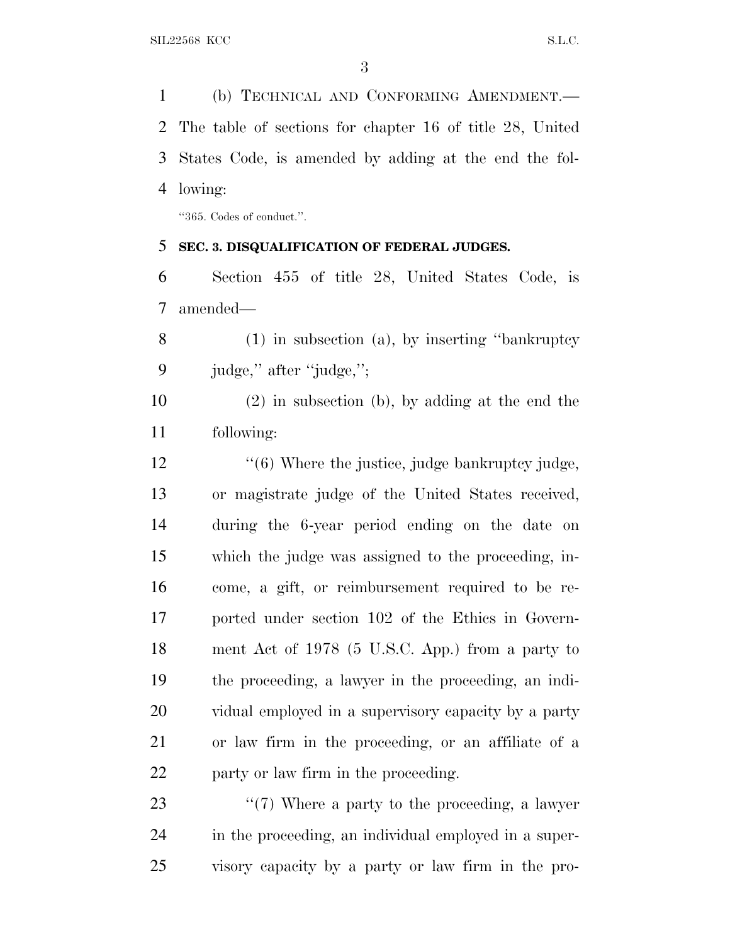(b) TECHNICAL AND CONFORMING AMENDMENT.— The table of sections for chapter 16 of title 28, United States Code, is amended by adding at the end the fol-lowing:

''365. Codes of conduct.''.

#### **SEC. 3. DISQUALIFICATION OF FEDERAL JUDGES.**

 Section 455 of title 28, United States Code, is amended—

 (1) in subsection (a), by inserting ''bankruptcy judge,'' after ''judge,'';

 (2) in subsection (b), by adding at the end the following:

12 ''(6) Where the justice, judge bankruptcy judge, or magistrate judge of the United States received, during the 6-year period ending on the date on which the judge was assigned to the proceeding, in- come, a gift, or reimbursement required to be re- ported under section 102 of the Ethics in Govern- ment Act of 1978 (5 U.S.C. App.) from a party to the proceeding, a lawyer in the proceeding, an indi- vidual employed in a supervisory capacity by a party or law firm in the proceeding, or an affiliate of a party or law firm in the proceeding.

23  $\frac{1}{2}$  (7) Where a party to the proceeding, a lawyer in the proceeding, an individual employed in a super-visory capacity by a party or law firm in the pro-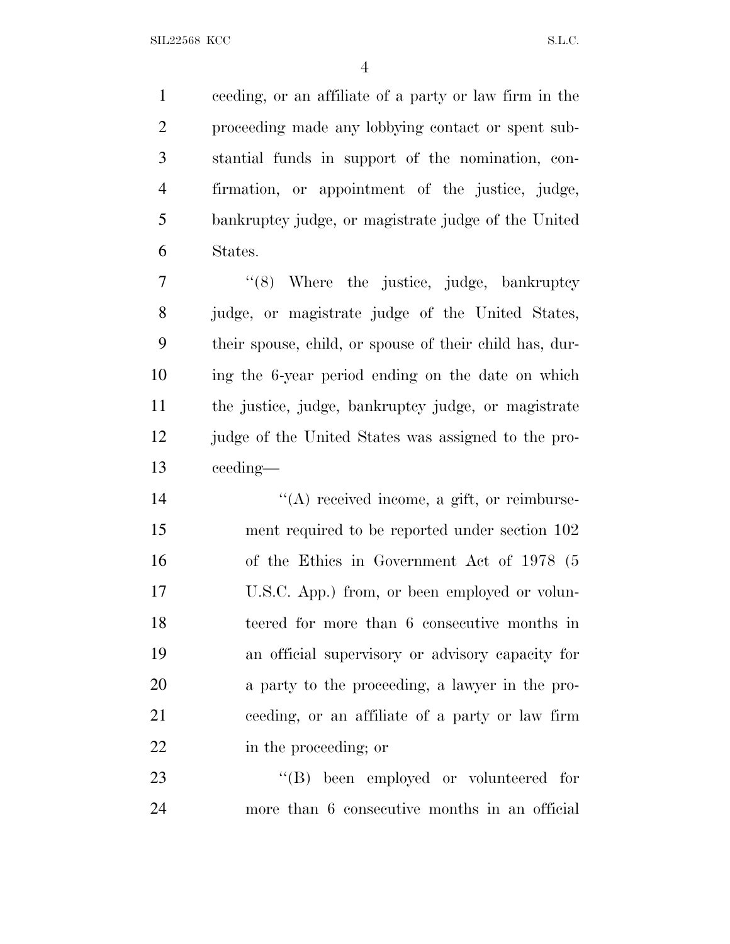ceeding, or an affiliate of a party or law firm in the proceeding made any lobbying contact or spent sub- stantial funds in support of the nomination, con- firmation, or appointment of the justice, judge, bankruptcy judge, or magistrate judge of the United States.

 $\frac{1}{8}$  Where the justice, judge, bankruptcy judge, or magistrate judge of the United States, their spouse, child, or spouse of their child has, dur- ing the 6-year period ending on the date on which the justice, judge, bankruptcy judge, or magistrate judge of the United States was assigned to the pro-ceeding—

 $\langle (A) \rangle$  received income, a gift, or reimburse- ment required to be reported under section 102 of the Ethics in Government Act of 1978 (5 U.S.C. App.) from, or been employed or volun- teered for more than 6 consecutive months in an official supervisory or advisory capacity for a party to the proceeding, a lawyer in the pro- ceeding, or an affiliate of a party or law firm in the proceeding; or

23  $'(B)$  been employed or volunteered for more than 6 consecutive months in an official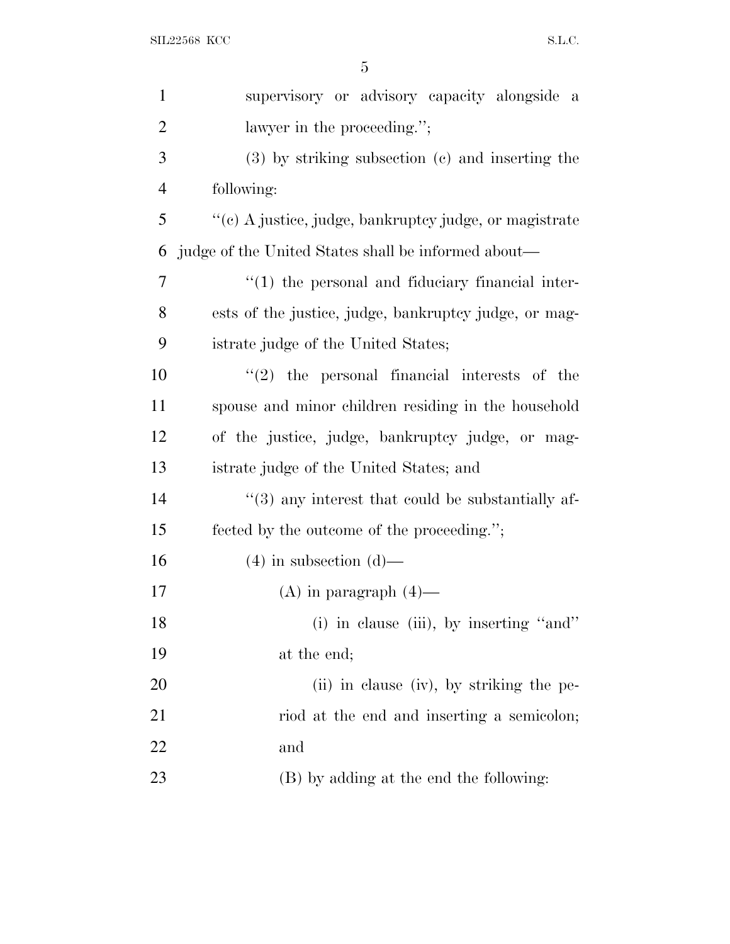| $\mathbf{1}$   | supervisory or advisory capacity alongside<br>a        |
|----------------|--------------------------------------------------------|
| $\overline{2}$ | lawyer in the proceeding.";                            |
| 3              | $(3)$ by striking subsection $(e)$ and inserting the   |
| $\overline{4}$ | following:                                             |
| 5              | "(c) A justice, judge, bankruptcy judge, or magistrate |
| 6              | judge of the United States shall be informed about—    |
| 7              | $"(1)$ the personal and fiduciary financial inter-     |
| 8              | ests of the justice, judge, bankruptcy judge, or mag-  |
| 9              | istrate judge of the United States;                    |
| 10             | $(2)$ the personal financial interests of the          |
| 11             | spouse and minor children residing in the household    |
| 12             | of the justice, judge, bankruptcy judge, or mag-       |
| 13             | istrate judge of the United States; and                |
| 14             | $(3)$ any interest that could be substantially af-     |
| 15             | fected by the outcome of the proceeding.";             |
| 16             | $(4)$ in subsection $(d)$ —                            |
| 17             | $(A)$ in paragraph $(4)$ —                             |
| 18             | (i) in clause (iii), by inserting "and"                |
| 19             | at the end;                                            |
| 20             | (ii) in clause (iv), by striking the pe-               |
| 21             | riod at the end and inserting a semicolon;             |
| 22             | and                                                    |
| 23             | (B) by adding at the end the following:                |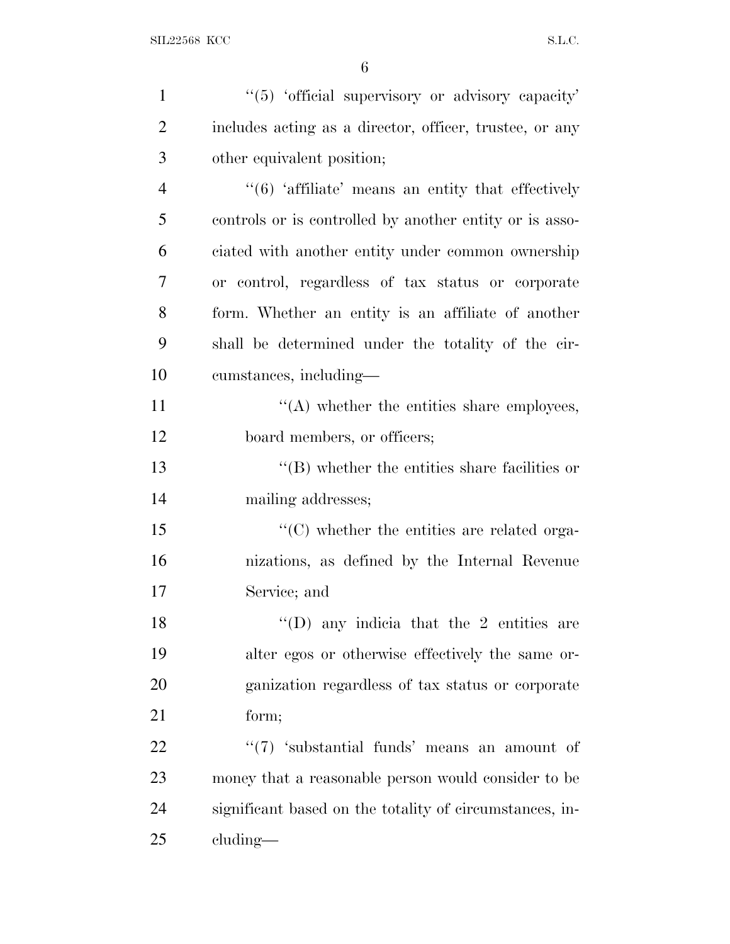| $\mathbf{1}$   | "(5) 'official supervisory or advisory capacity'        |
|----------------|---------------------------------------------------------|
| $\overline{2}$ | includes acting as a director, officer, trustee, or any |
| 3              | other equivalent position;                              |
| $\overline{4}$ | $``(6)$ 'affiliate' means an entity that effectively    |
| 5              | controls or is controlled by another entity or is asso- |
| 6              | ciated with another entity under common ownership       |
| 7              | or control, regardless of tax status or corporate       |
| 8              | form. Whether an entity is an affiliate of another      |
| 9              | shall be determined under the totality of the cir-      |
| 10             | cumstances, including—                                  |
| 11             | $\lq\lq$ whether the entities share employees,          |
| 12             | board members, or officers;                             |
| 13             | $\lq\lq$ whether the entities share facilities or       |
| 14             | mailing addresses;                                      |
| 15             | $\lq\lq$ (C) whether the entities are related orga-     |
| 16             | nizations, as defined by the Internal Revenue           |
| 17             | Service; and                                            |
| 18             | "(D) any indicia that the 2 entities are                |
| 19             | alter egos or otherwise effectively the same or-        |
| 20             | ganization regardless of tax status or corporate        |
| 21             | form;                                                   |
| 22             | " $(7)$ 'substantial funds' means an amount of          |
| 23             | money that a reasonable person would consider to be     |
| 24             | significant based on the totality of circumstances, in- |
| 25             | cluding—                                                |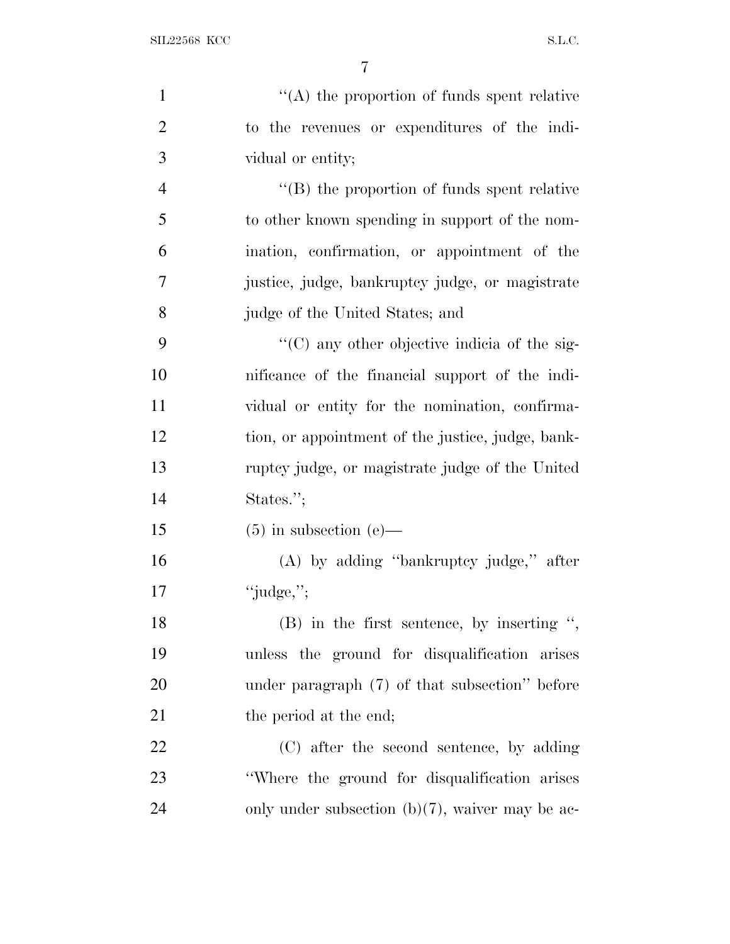| $\mathbf{1}$   | $\lq\lq$ the proportion of funds spent relative      |
|----------------|------------------------------------------------------|
| $\overline{2}$ | to the revenues or expenditures of the indi-         |
| 3              | vidual or entity;                                    |
| $\overline{4}$ | $\lq\lq$ (B) the proportion of funds spent relative  |
| 5              | to other known spending in support of the nom-       |
| 6              | ination, confirmation, or appointment of the         |
| 7              | justice, judge, bankruptcy judge, or magistrate      |
| 8              | judge of the United States; and                      |
| 9              | $\lq\lq$ (C) any other objective indicia of the sig- |
| 10             | nificance of the financial support of the indi-      |
| 11             | vidual or entity for the nomination, confirma-       |
| 12             | tion, or appointment of the justice, judge, bank-    |
| 13             | ruptcy judge, or magistrate judge of the United      |
| 14             | States.";                                            |
| 15             | $(5)$ in subsection $(e)$ —                          |
| 16             | $(A)$ by adding "bankruptcy judge," after            |
| 17             | "judge,";                                            |
| 18             | $(B)$ in the first sentence, by inserting ",         |
| 19             | unless the ground for disqualification arises        |
| 20             | under paragraph $(7)$ of that subsection" before     |
| 21             | the period at the end;                               |
| 22             | (C) after the second sentence, by adding             |
| 23             | "Where the ground for disqualification arises        |
| 24             | only under subsection $(b)(7)$ , waiver may be ac-   |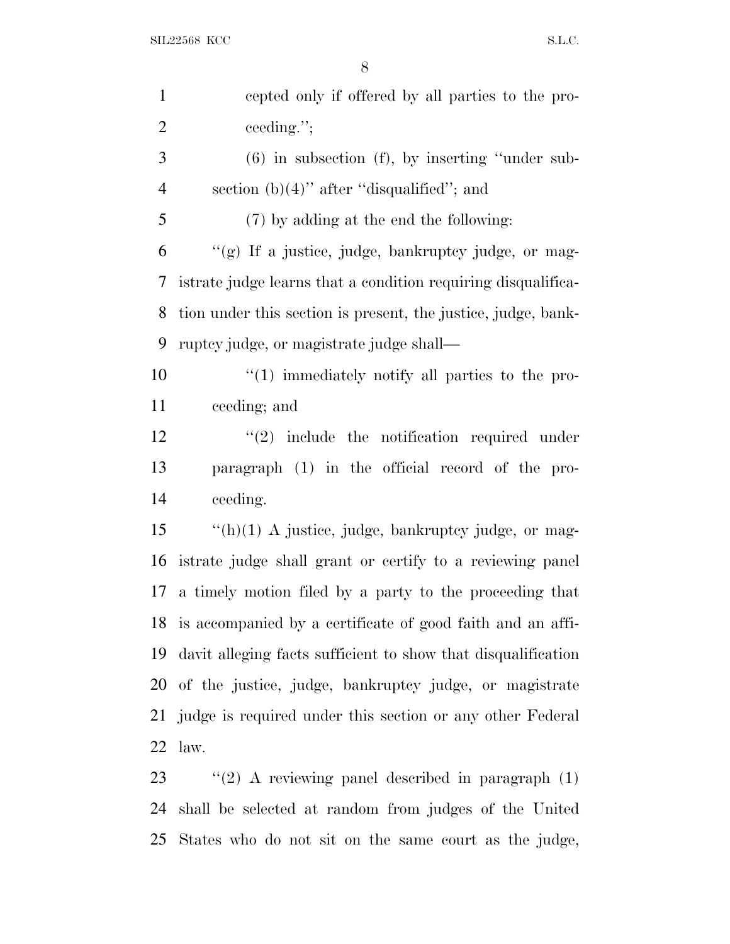| $\mathbf{1}$   | cepted only if offered by all parties to the pro-             |
|----------------|---------------------------------------------------------------|
| $\overline{2}$ | ceeding.";                                                    |
| 3              | $(6)$ in subsection $(f)$ , by inserting "under sub-          |
| $\overline{4}$ | section $(b)(4)$ " after "disqualified"; and                  |
| 5              | (7) by adding at the end the following:                       |
| 6              | "(g) If a justice, judge, bankruptcy judge, or mag-           |
| 7              | istrate judge learns that a condition requiring disqualifica- |
| 8              | tion under this section is present, the justice, judge, bank- |
| 9              | ruptcy judge, or magistrate judge shall—                      |
| 10             | $\lq(1)$ immediately notify all parties to the pro-           |
| 11             | ceeding; and                                                  |
| 12             | $(2)$ include the notification required under                 |
| 13             | paragraph (1) in the official record of the pro-              |
| 14             | ceeding.                                                      |
| 15             | $\lq$ (h)(1) A justice, judge, bankruptcy judge, or mag-      |
| 16             | istrate judge shall grant or certify to a reviewing panel     |
| 17             | a timely motion filed by a party to the proceeding that       |
|                | 18 is accompanied by a certificate of good faith and an affi- |
| 19             | davit alleging facts sufficient to show that disqualification |
| 20             | of the justice, judge, bankruptcy judge, or magistrate        |
|                | 21 judge is required under this section or any other Federal  |
| 22             | law.                                                          |
| 23             | $\lq(2)$ A reviewing panel described in paragraph (1)         |

ig panel described in paragrap shall be selected at random from judges of the United States who do not sit on the same court as the judge,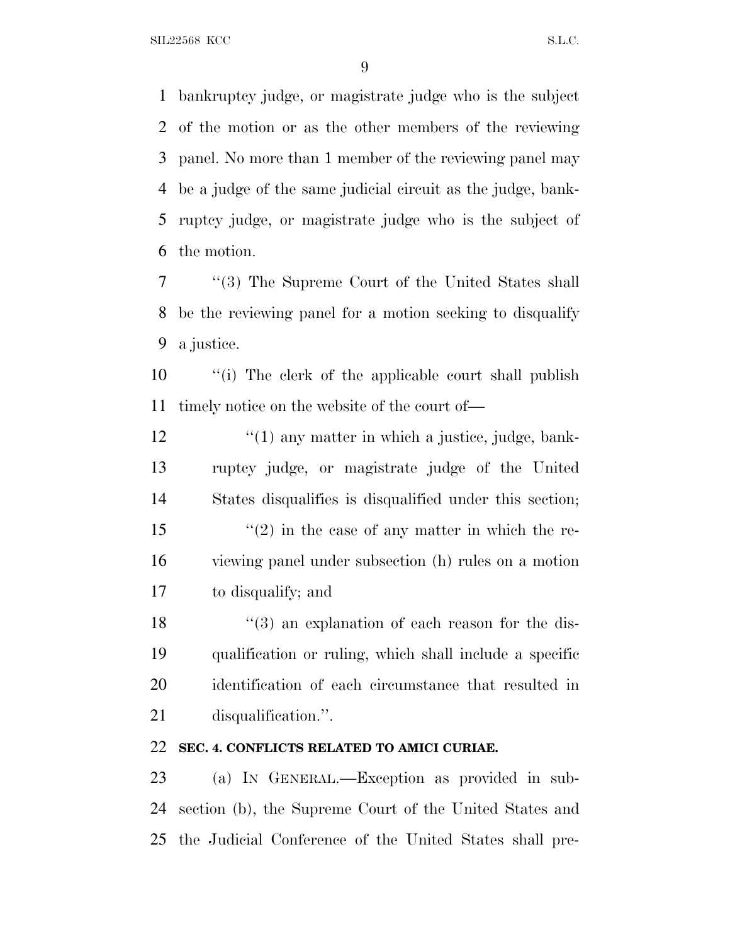bankruptcy judge, or magistrate judge who is the subject of the motion or as the other members of the reviewing panel. No more than 1 member of the reviewing panel may be a judge of the same judicial circuit as the judge, bank- ruptcy judge, or magistrate judge who is the subject of the motion.

 ''(3) The Supreme Court of the United States shall be the reviewing panel for a motion seeking to disqualify a justice.

 ''(i) The clerk of the applicable court shall publish timely notice on the website of the court of—

12 ''(1) any matter in which a justice, judge, bank- ruptcy judge, or magistrate judge of the United States disqualifies is disqualified under this section;  $\frac{1}{2}$  in the case of any matter in which the re- viewing panel under subsection (h) rules on a motion to disqualify; and

18 ''(3) an explanation of each reason for the dis- qualification or ruling, which shall include a specific identification of each circumstance that resulted in disqualification.''.

## **SEC. 4. CONFLICTS RELATED TO AMICI CURIAE.**

 (a) I<sup>N</sup> GENERAL.—Exception as provided in sub- section (b), the Supreme Court of the United States and the Judicial Conference of the United States shall pre-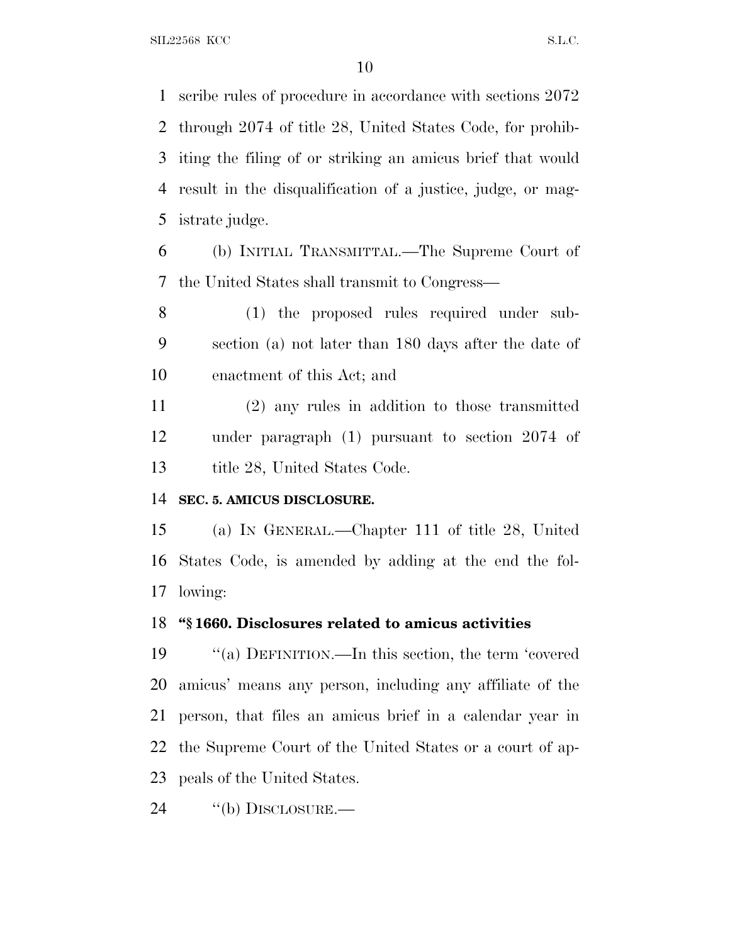scribe rules of procedure in accordance with sections 2072 through 2074 of title 28, United States Code, for prohib- iting the filing of or striking an amicus brief that would result in the disqualification of a justice, judge, or mag-istrate judge.

 (b) INITIAL TRANSMITTAL.—The Supreme Court of the United States shall transmit to Congress—

 (1) the proposed rules required under sub- section (a) not later than 180 days after the date of enactment of this Act; and

 (2) any rules in addition to those transmitted under paragraph (1) pursuant to section 2074 of 13 title 28, United States Code.

#### **SEC. 5. AMICUS DISCLOSURE.**

 (a) I<sup>N</sup> GENERAL.—Chapter 111 of title 28, United States Code, is amended by adding at the end the fol-lowing:

#### **''§ 1660. Disclosures related to amicus activities**

 ''(a) DEFINITION.—In this section, the term 'covered amicus' means any person, including any affiliate of the person, that files an amicus brief in a calendar year in the Supreme Court of the United States or a court of ap-peals of the United States.

24 "(b) DISCLOSURE.—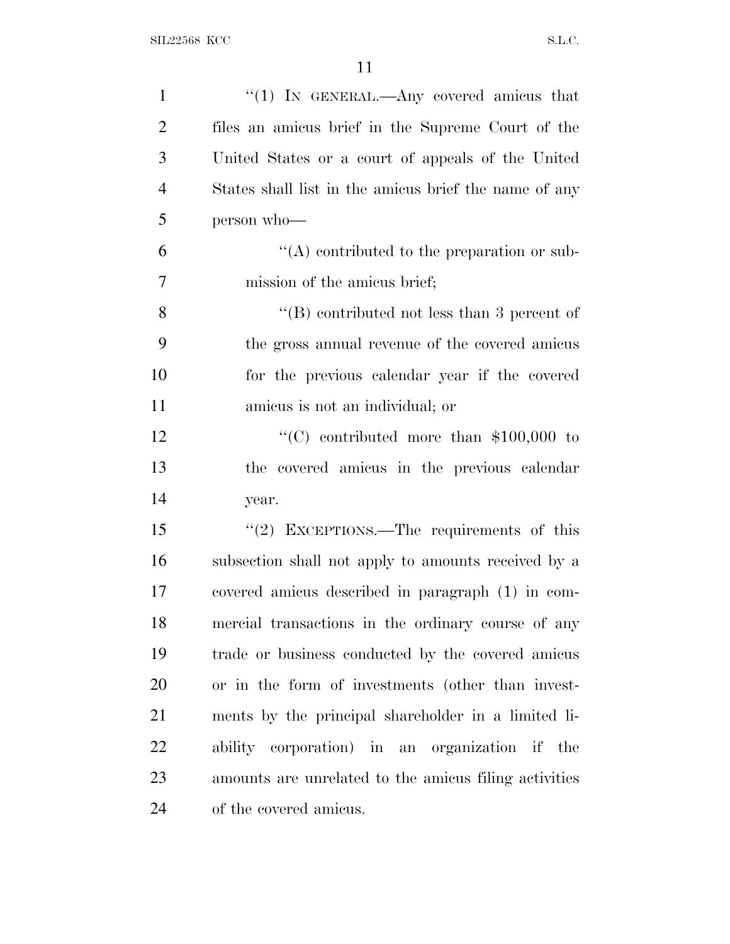| $\mathbf{1}$   | "(1) IN GENERAL.—Any covered amicus that              |
|----------------|-------------------------------------------------------|
| $\overline{2}$ | files an amicus brief in the Supreme Court of the     |
| 3              | United States or a court of appeals of the United     |
| $\overline{4}$ | States shall list in the amicus brief the name of any |
| 5              | person who-                                           |
| 6              | $\lq\lq$ contributed to the preparation or sub-       |
| $\overline{7}$ | mission of the amicus brief;                          |
| 8              | $\lq\lq$ contributed not less than 3 percent of       |
| 9              | the gross annual revenue of the covered amicus        |
| 10             | for the previous calendar year if the covered         |
| 11             | amicus is not an individual; or                       |
| 12             | "(C) contributed more than $$100,000$ to              |
| 13             | the covered amicus in the previous calendar           |
| 14             | year.                                                 |
| 15             | "(2) EXCEPTIONS.—The requirements of this             |
| 16             | subsection shall not apply to amounts received by a   |
| 17             | covered amicus described in paragraph (1) in com-     |
| 18             | mercial transactions in the ordinary course of any    |
| 19             | trade or business conducted by the covered amicus     |
| 20             | or in the form of investments (other than invest-     |
| 21             | ments by the principal shareholder in a limited li-   |
| 22             | ability corporation) in an organization if the        |
| 23             | amounts are unrelated to the amicus filing activities |
| 24             | of the covered amicus.                                |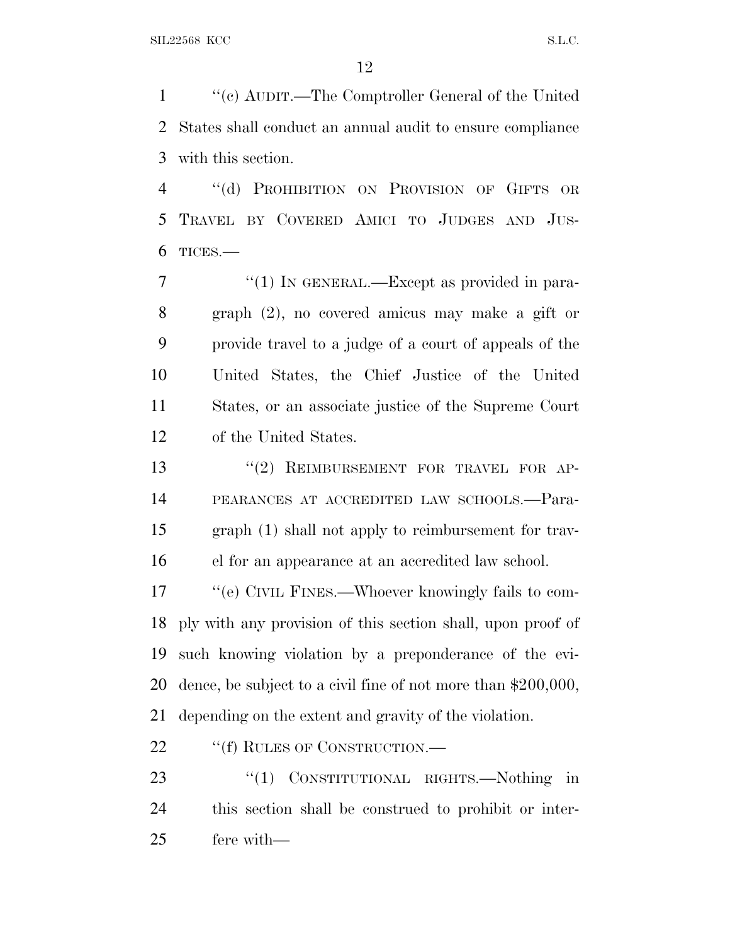''(c) AUDIT.—The Comptroller General of the United States shall conduct an annual audit to ensure compliance with this section.

 ''(d) PROHIBITION ON PROVISION OF GIFTS OR TRAVEL BY COVERED AMICI TO JUDGES AND JUS-TICES.—

7 "(1) IN GENERAL.—Except as provided in para- graph (2), no covered amicus may make a gift or provide travel to a judge of a court of appeals of the United States, the Chief Justice of the United States, or an associate justice of the Supreme Court of the United States.

13 "(2) REIMBURSEMENT FOR TRAVEL FOR AP- PEARANCES AT ACCREDITED LAW SCHOOLS.—Para- graph (1) shall not apply to reimbursement for trav-el for an appearance at an accredited law school.

 ''(e) CIVIL FINES.—Whoever knowingly fails to com- ply with any provision of this section shall, upon proof of such knowing violation by a preponderance of the evi- dence, be subject to a civil fine of not more than \$200,000, depending on the extent and gravity of the violation.

22 ""(f) RULES OF CONSTRUCTION.—

23 "(1) CONSTITUTIONAL RIGHTS.—Nothing in this section shall be construed to prohibit or inter-fere with—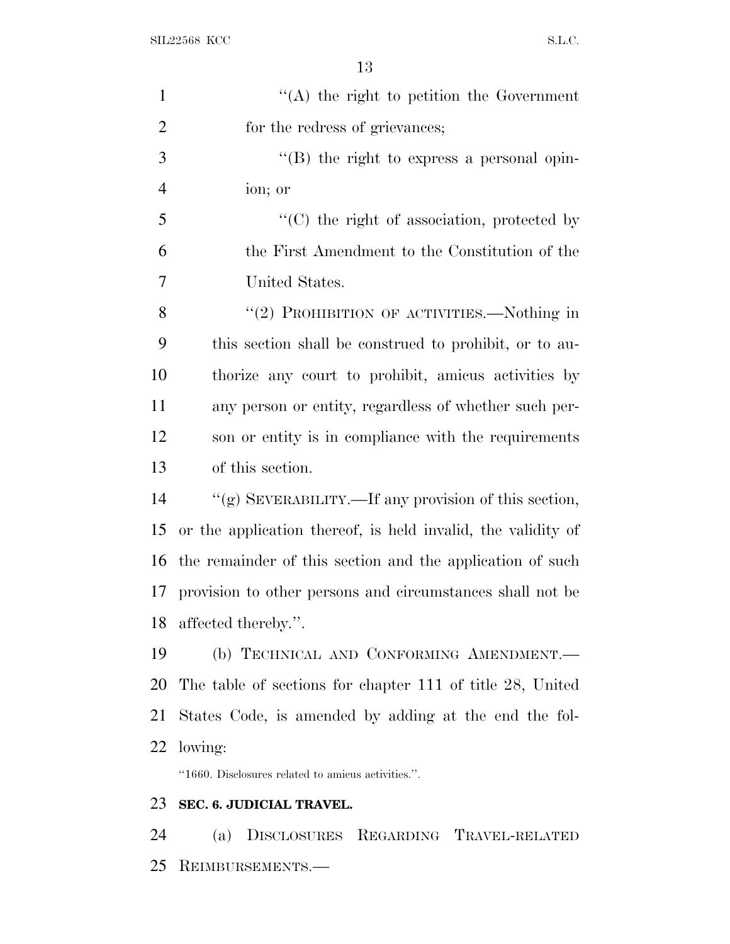| $\mathbf{1}$   | $\lq\lq$ the right to petition the Government                |
|----------------|--------------------------------------------------------------|
| $\overline{2}$ | for the redress of grievances;                               |
| 3              | $\lq\lq (B)$ the right to express a personal opin-           |
| $\overline{4}$ | ion; or                                                      |
| 5              | $\lq\lq$ (C) the right of association, protected by          |
| 6              | the First Amendment to the Constitution of the               |
| $\overline{7}$ | United States.                                               |
| 8              | "(2) PROHIBITION OF ACTIVITIES.—Nothing in                   |
| 9              | this section shall be construed to prohibit, or to au-       |
| 10             | thorize any court to prohibit, amicus activities by          |
| 11             | any person or entity, regardless of whether such per-        |
| 12             | son or entity is in compliance with the requirements         |
| 13             | of this section.                                             |
| 14             | "(g) SEVERABILITY.—If any provision of this section,         |
| 15             | or the application thereof, is held invalid, the validity of |
| 16             | the remainder of this section and the application of such    |
| 17             | provision to other persons and circumstances shall not be    |
|                | 18 affected thereby.".                                       |
| 19             | (b) TECHNICAL AND CONFORMING AMENDMENT.                      |
| 20             | The table of sections for chapter 111 of title 28, United    |
| 21             | States Code, is amended by adding at the end the fol-        |
| 22             | lowing:                                                      |
|                | "1660. Disclosures related to amicus activities.".           |
| 23             | SEC. 6. JUDICIAL TRAVEL.                                     |
| 24             | DISCLOSURES REGARDING TRAVEL-RELATED<br>(a)                  |
| 25             | REIMBURSEMENTS.-                                             |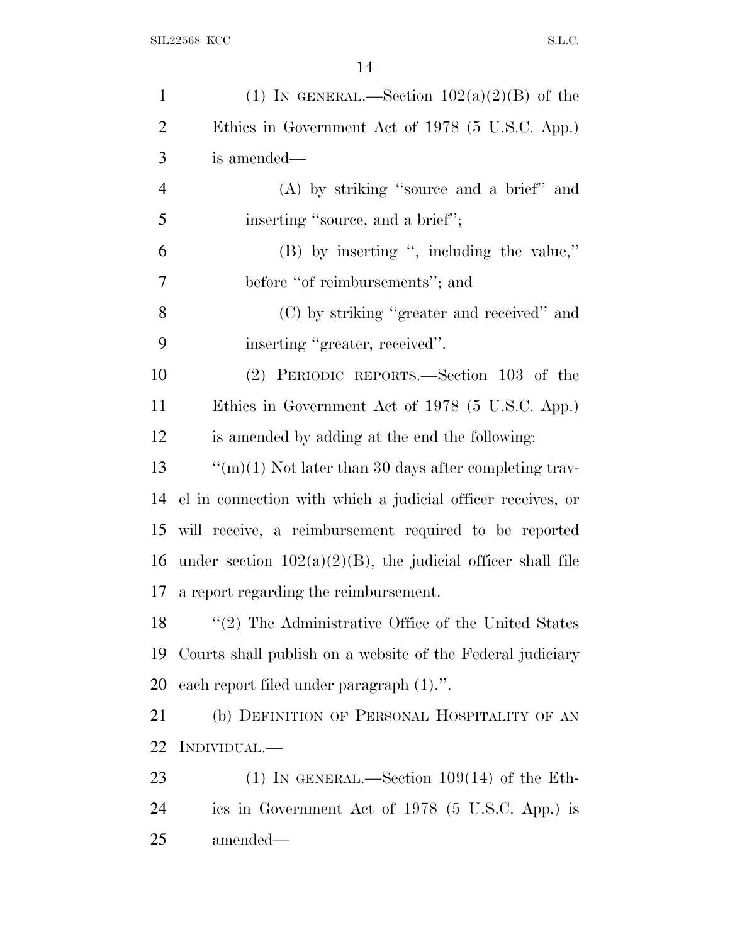| $\mathbf{1}$   | (1) IN GENERAL.—Section $102(a)(2)(B)$ of the                  |
|----------------|----------------------------------------------------------------|
| $\overline{2}$ | Ethics in Government Act of 1978 (5 U.S.C. App.)               |
| 3              | is amended—                                                    |
| $\overline{4}$ | $(A)$ by striking "source and a brief" and                     |
| 5              | inserting "source, and a brief";                               |
| 6              | (B) by inserting ", including the value,"                      |
| $\tau$         | before "of reimbursements"; and                                |
| 8              | (C) by striking "greater and received" and                     |
| 9              | inserting "greater, received".                                 |
| 10             | (2) PERIODIC REPORTS.—Section 103 of the                       |
| 11             | Ethics in Government Act of 1978 (5 U.S.C. App.)               |
| 12             | is amended by adding at the end the following:                 |
| 13             | "(m)(1) Not later than 30 days after completing trav-          |
| 14             | el in connection with which a judicial officer receives, or    |
| 15             | will receive, a reimbursement required to be reported          |
| 16             | under section $102(a)(2)(B)$ , the judicial officer shall file |
| 17             | a report regarding the reimbursement.                          |
| 18             | $"(2)$ The Administrative Office of the United States          |
| 19             | Courts shall publish on a website of the Federal judiciary     |
| 20             | each report filed under paragraph $(1)$ .".                    |
| 21             | (b) DEFINITION OF PERSONAL HOSPITALITY OF AN                   |
| 22             | INDIVIDUAL.—                                                   |
| 23             | (1) IN GENERAL.—Section $109(14)$ of the Eth-                  |
| 24             | ics in Government Act of 1978 (5 U.S.C. App.) is               |
| 25             | amended—                                                       |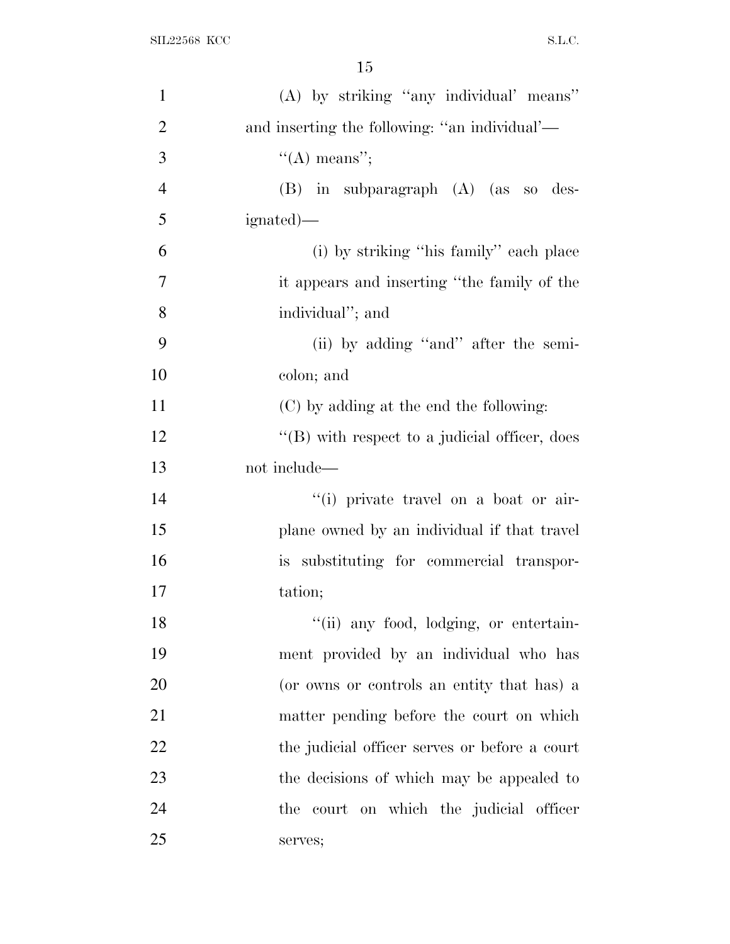| $\mathbf{1}$   | (A) by striking "any individual" means"           |
|----------------|---------------------------------------------------|
| $\overline{2}$ | and inserting the following: "an individual"—     |
| 3              | $\lq\lq$ means";                                  |
| $\overline{4}$ | (B) in subparagraph (A) (as so des-               |
| 5              | ignated)—                                         |
| 6              | (i) by striking "his family" each place           |
| 7              | it appears and inserting "the family of the       |
| 8              | individual"; and                                  |
| 9              | (ii) by adding "and" after the semi-              |
| 10             | colon; and                                        |
| 11             | (C) by adding at the end the following:           |
| 12             | $\lq\lq$ with respect to a judicial officer, does |
| 13             | not include—                                      |
| 14             | "(i) private travel on a boat or air-             |
| 15             | plane owned by an individual if that travel       |
| 16             | is substituting for commercial transpor-          |
| 17             | tation;                                           |
| 18             | "(ii) any food, lodging, or entertain-            |
| 19             | ment provided by an individual who has            |
| 20             | (or owns or controls an entity that has) a        |
| 21             | matter pending before the court on which          |
| 22             | the judicial officer serves or before a court     |
| 23             | the decisions of which may be appealed to         |
| 24             | the court on which the judicial officer           |
| 25             | serves;                                           |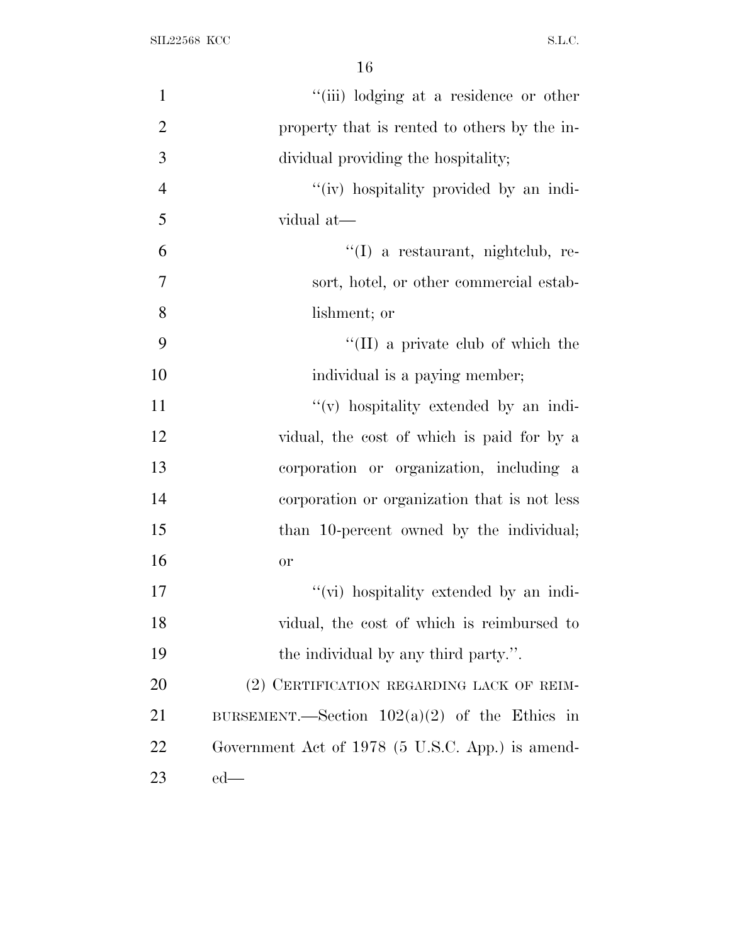| $\mathbf{1}$   | "(iii) lodging at a residence or other           |
|----------------|--------------------------------------------------|
| $\overline{2}$ | property that is rented to others by the in-     |
| 3              | dividual providing the hospitality;              |
| $\overline{4}$ | "(iv) hospitality provided by an indi-           |
| 5              | vidual at-                                       |
| 6              | $\lq(1)$ a restaurant, nightclub, re-            |
| $\overline{7}$ | sort, hotel, or other commercial estab-          |
| 8              | lishment; or                                     |
| 9              | $\lq\lq$ (II) a private club of which the        |
| 10             | individual is a paying member;                   |
| 11             | "(v) hospitality extended by an indi-            |
| 12             | vidual, the cost of which is paid for by a       |
| 13             | corporation or organization, including a         |
| 14             | corporation or organization that is not less     |
| 15             | than 10-percent owned by the individual;         |
| 16             | <b>or</b>                                        |
| 17             | "(vi) hospitality extended by an indi-           |
| 18             | vidual, the cost of which is reimbursed to       |
| 19             | the individual by any third party.".             |
| 20             | (2) CERTIFICATION REGARDING LACK OF REIM-        |
| 21             | BURSEMENT.—Section $102(a)(2)$ of the Ethics in  |
| 22             | Government Act of 1978 (5 U.S.C. App.) is amend- |
| 23             | $ed$ —                                           |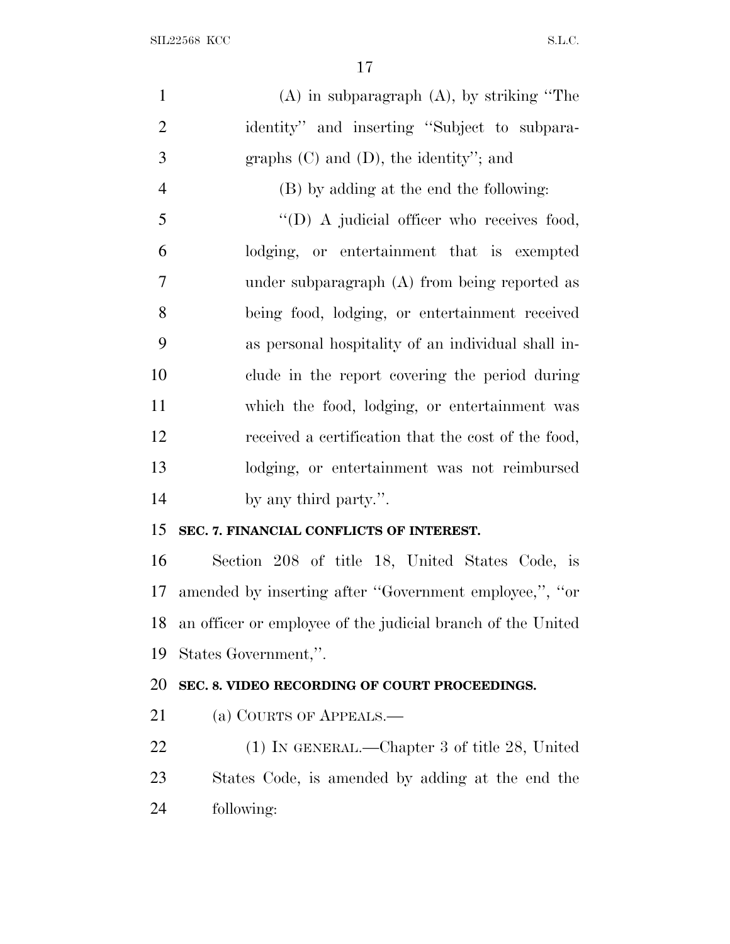| $\mathbf{1}$   | $(A)$ in subparagraph $(A)$ , by striking "The              |
|----------------|-------------------------------------------------------------|
| $\overline{2}$ | identity" and inserting "Subject to subpara-                |
| 3              | graphs $(C)$ and $(D)$ , the identity"; and                 |
| $\overline{4}$ | (B) by adding at the end the following:                     |
| 5              | $\lq\lq$ (D) A judicial officer who receives food,          |
| 6              | lodging, or entertainment that is exempted                  |
| $\overline{7}$ | under subparagraph (A) from being reported as               |
| 8              | being food, lodging, or entertainment received              |
| 9              | as personal hospitality of an individual shall in-          |
| 10             | clude in the report covering the period during              |
| 11             | which the food, lodging, or entertainment was               |
| 12             | received a certification that the cost of the food,         |
| 13             | lodging, or entertainment was not reimbursed                |
| 14             | by any third party.".                                       |
| 15             | SEC. 7. FINANCIAL CONFLICTS OF INTEREST.                    |
| 16             | Section 208 of title 18, United States Code, is             |
| 17             | amended by inserting after "Government employee,", "or      |
| 18             | an officer or employee of the judicial branch of the United |
| 19             | States Government,".                                        |
| 20             | SEC. 8. VIDEO RECORDING OF COURT PROCEEDINGS.               |
| 21             | (a) COURTS OF APPEALS.—                                     |
| 22             | (1) IN GENERAL.—Chapter 3 of title 28, United               |
| 23             | States Code, is amended by adding at the end the            |
| 24             | following:                                                  |
|                |                                                             |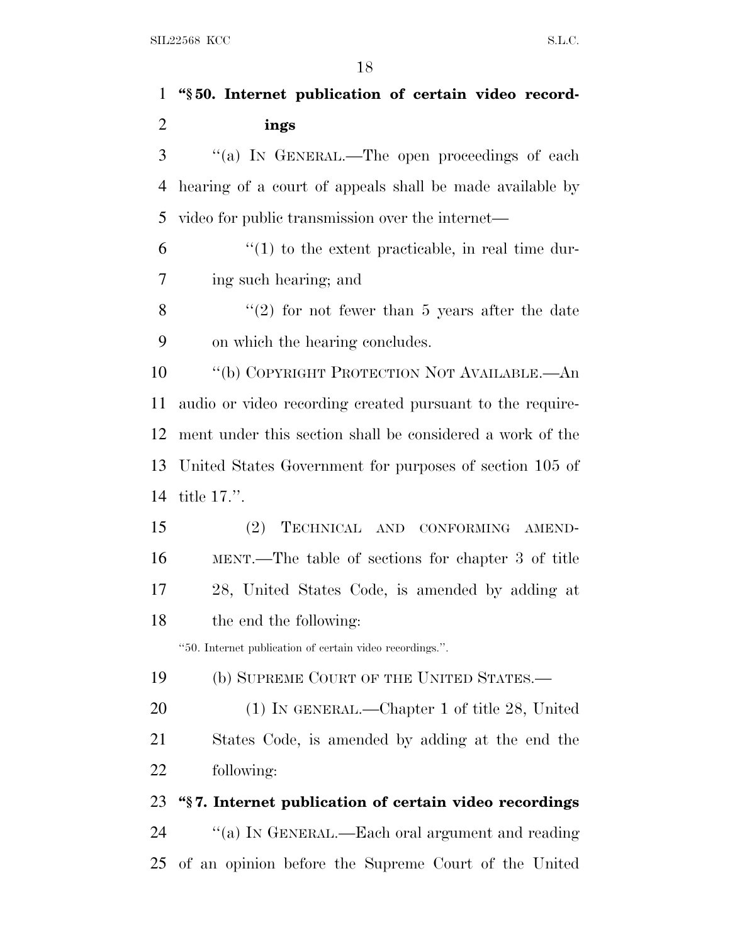| $\mathbf 1$    | "§50. Internet publication of certain video record-       |
|----------------|-----------------------------------------------------------|
| $\overline{2}$ | ings                                                      |
| 3              | "(a) IN GENERAL.—The open proceedings of each             |
| 4              | hearing of a court of appeals shall be made available by  |
| 5              | video for public transmission over the internet—          |
| 6              | $\lq(1)$ to the extent practicable, in real time dur-     |
| 7              | ing such hearing; and                                     |
| 8              | $\lq(2)$ for not fewer than 5 years after the date        |
| 9              | on which the hearing concludes.                           |
| 10             | "(b) COPYRIGHT PROTECTION NOT AVAILABLE.—An               |
| 11             | audio or video recording created pursuant to the require- |
| 12             | ment under this section shall be considered a work of the |
| 13             | United States Government for purposes of section 105 of   |
| 14             | title $17$ .".                                            |
| 15             | TECHNICAL AND CONFORMING AMEND-<br>(2)                    |
| 16             | MENT.—The table of sections for chapter 3 of title        |
| 17             | 28, United States Code, is amended by adding at           |
| 18             | the end the following:                                    |
|                | "50. Internet publication of certain video recordings.".  |
| 19             | (b) SUPREME COURT OF THE UNITED STATES.—                  |
| 20             | $(1)$ In GENERAL.—Chapter 1 of title 28, United           |
| 21             | States Code, is amended by adding at the end the          |
| 22             | following:                                                |
| 23             | "§7. Internet publication of certain video recordings     |
| 24             | "(a) IN GENERAL.—Each oral argument and reading           |
| 25             | of an opinion before the Supreme Court of the United      |
|                |                                                           |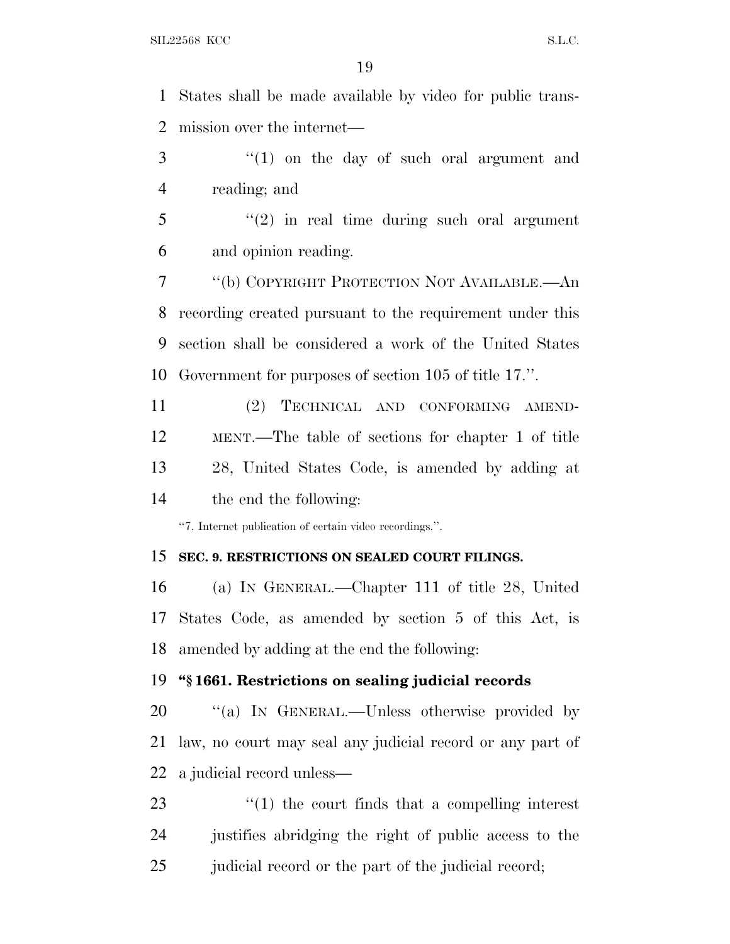States shall be made available by video for public trans-mission over the internet—

3 "(1) on the day of such oral argument and reading; and

 ''(2) in real time during such oral argument and opinion reading.

 ''(b) COPYRIGHT PROTECTION NOT AVAILABLE.—An recording created pursuant to the requirement under this section shall be considered a work of the United States Government for purposes of section 105 of title 17.''.

 (2) TECHNICAL AND CONFORMING AMEND- MENT.—The table of sections for chapter 1 of title 28, United States Code, is amended by adding at the end the following:

''7. Internet publication of certain video recordings.''.

#### **SEC. 9. RESTRICTIONS ON SEALED COURT FILINGS.**

 (a) I<sup>N</sup> GENERAL.—Chapter 111 of title 28, United States Code, as amended by section 5 of this Act, is amended by adding at the end the following:

### **''§ 1661. Restrictions on sealing judicial records**

20 "(a) IN GENERAL.—Unless otherwise provided by law, no court may seal any judicial record or any part of a judicial record unless—

23  $\frac{1}{2}$   $\frac{1}{2}$  the court finds that a compelling interest justifies abridging the right of public access to the judicial record or the part of the judicial record;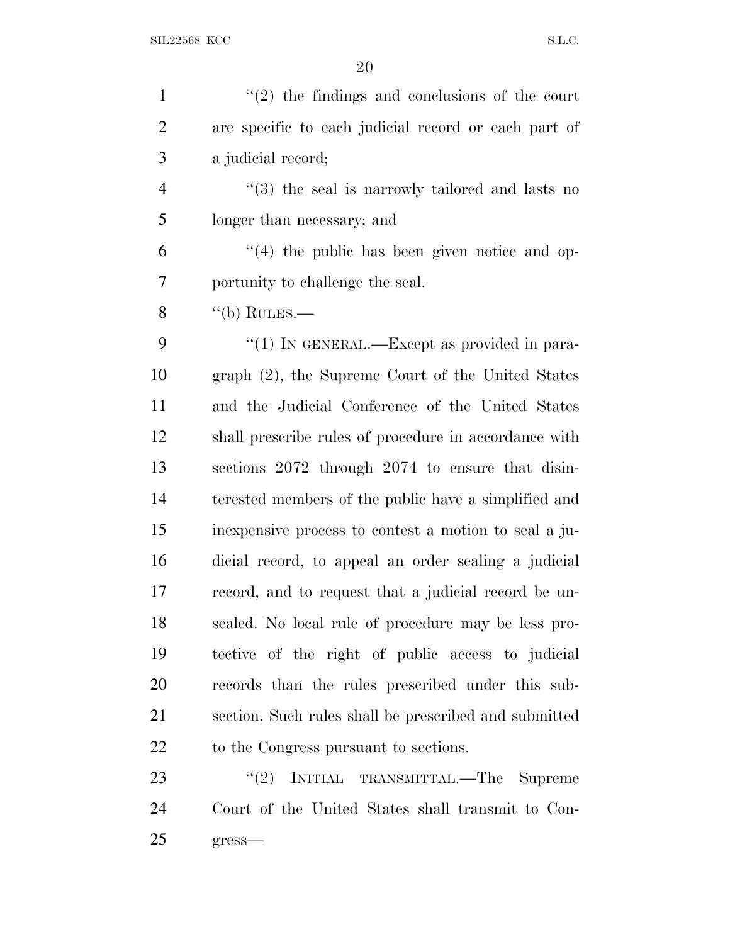| $\mathbf{1}$   | $\lq(2)$ the findings and conclusions of the court              |
|----------------|-----------------------------------------------------------------|
| $\overline{2}$ | are specific to each judicial record or each part of            |
| 3              | a judicial record;                                              |
| $\overline{4}$ | $\cdot\cdot\cdot(3)$ the seal is narrowly tailored and lasts no |
| 5              | longer than necessary; and                                      |
| 6              | $\lq(4)$ the public has been given notice and op-               |
| 7              | portunity to challenge the seal.                                |
| 8              | $\lq\lq(b)$ RULES.—                                             |
| 9              | "(1) IN GENERAL.—Except as provided in para-                    |
| 10             | graph (2), the Supreme Court of the United States               |
| 11             | and the Judicial Conference of the United States                |
| 12             | shall prescribe rules of procedure in accordance with           |
| 13             | sections 2072 through 2074 to ensure that disin-                |
| 14             | terested members of the public have a simplified and            |
| 15             | in expensive process to contest a motion to seal a ju-          |
| 16             | dicial record, to appeal an order sealing a judicial            |
| 17             | record, and to request that a judicial record be un-            |
| 18             | sealed. No local rule of procedure may be less pro-             |
| 19             | tective of the right of public access to judicial               |
| 20             | records than the rules prescribed under this sub-               |
| 21             | section. Such rules shall be prescribed and submitted           |
| 22             | to the Congress pursuant to sections.                           |
| 23             | INITIAL TRANSMITTAL.—The Supreme<br>(2)                         |
| 24             | Court of the United States shall transmit to Con-               |
| 25             | gress-                                                          |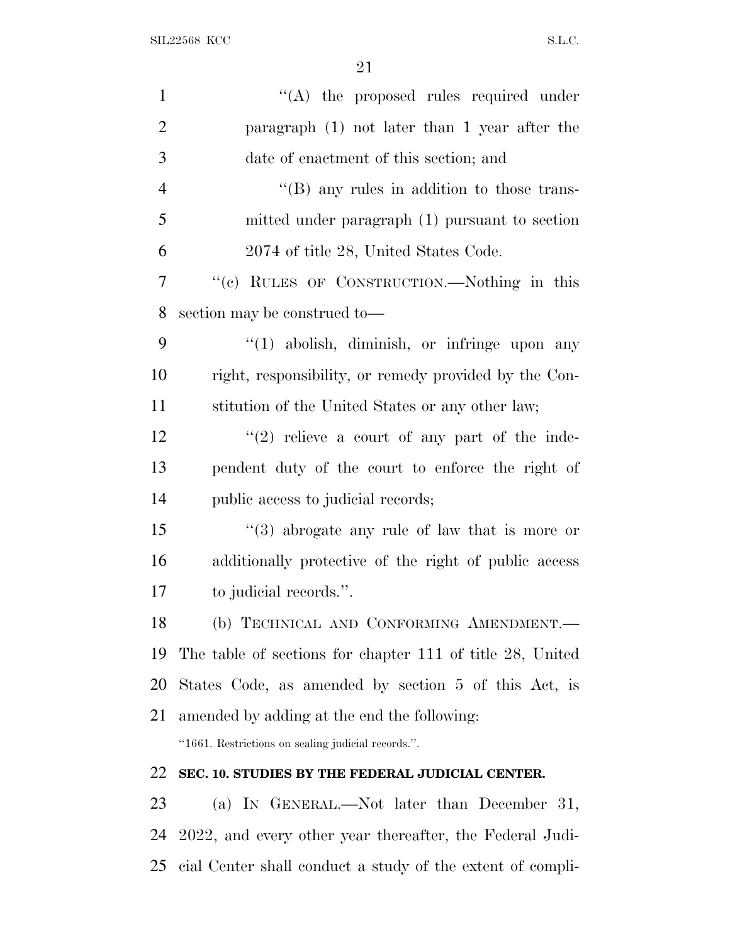| $\mathbf{1}$   | $\lq\lq$ the proposed rules required under                 |
|----------------|------------------------------------------------------------|
| $\overline{2}$ | paragraph (1) not later than 1 year after the              |
| 3              | date of enactment of this section; and                     |
| $\overline{4}$ | $\lq\lq$ (B) any rules in addition to those trans-         |
| 5              | mitted under paragraph (1) pursuant to section             |
| 6              | 2074 of title 28, United States Code.                      |
| 7              | "(c) RULES OF CONSTRUCTION.—Nothing in this                |
| 8              | section may be construed to-                               |
| 9              | $\lq(1)$ abolish, diminish, or infringe upon any           |
| 10             | right, responsibility, or remedy provided by the Con-      |
| 11             | stitution of the United States or any other law;           |
| 12             | $(2)$ relieve a court of any part of the inde-             |
| 13             | pendent duty of the court to enforce the right of          |
| 14             | public access to judicial records;                         |
| 15             | $(3)$ abrogate any rule of law that is more or             |
| 16             | additionally protective of the right of public access      |
| 17             | to judicial records.".                                     |
| 18             | (b) TECHNICAL AND CONFORMING AMENDMENT.-                   |
| 19             | The table of sections for chapter 111 of title 28, United  |
| 20             | States Code, as amended by section 5 of this Act, is       |
| 21             | amended by adding at the end the following:                |
|                | "1661. Restrictions on sealing judicial records.".         |
| 22             | SEC. 10. STUDIES BY THE FEDERAL JUDICIAL CENTER.           |
| 23             | (a) IN GENERAL.—Not later than December 31,                |
| 24             | 2022, and every other year thereafter, the Federal Judi-   |
| 25             | cial Center shall conduct a study of the extent of compli- |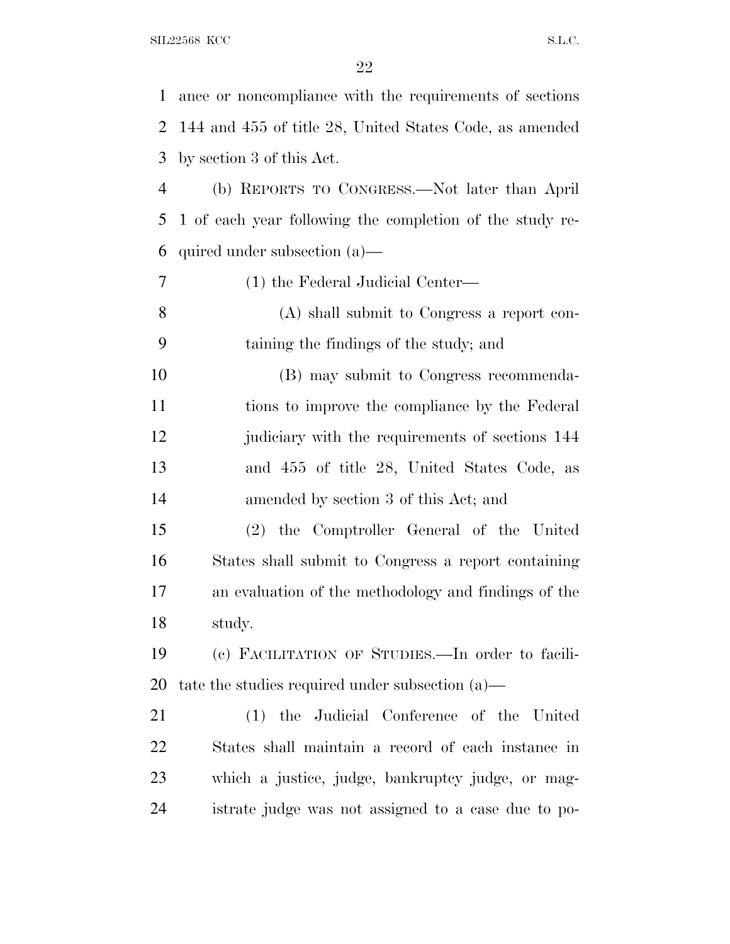| $\mathbf{1}$   | ance or noncompliance with the requirements of sections  |
|----------------|----------------------------------------------------------|
| 2              | 144 and 455 of title 28, United States Code, as amended  |
| 3              | by section 3 of this Act.                                |
| $\overline{4}$ | (b) REPORTS TO CONGRESS.—Not later than April            |
| 5              | 1 of each year following the completion of the study re- |
| 6              | quired under subsection $(a)$ —                          |
| 7              | (1) the Federal Judicial Center—                         |
| 8              | (A) shall submit to Congress a report con-               |
| 9              | taining the findings of the study; and                   |
| 10             | (B) may submit to Congress recommenda-                   |
| 11             | tions to improve the compliance by the Federal           |
| 12             | judiciary with the requirements of sections 144          |
| 13             | and 455 of title 28, United States Code, as              |
| 14             | amended by section 3 of this Act; and                    |
| 15             | (2) the Comptroller General of the United                |
| 16             | States shall submit to Congress a report containing      |
| 17             | an evaluation of the methodology and findings of the     |
| 18             | study.                                                   |
| 19             | (c) FACILITATION OF STUDIES.—In order to facili-         |
| 20             | tate the studies required under subsection $(a)$ —       |
| 21             | (1) the Judicial Conference of the United                |
| 22             | States shall maintain a record of each instance in       |
| 23             | which a justice, judge, bankruptcy judge, or mag-        |
| 24             | istrate judge was not assigned to a case due to po-      |